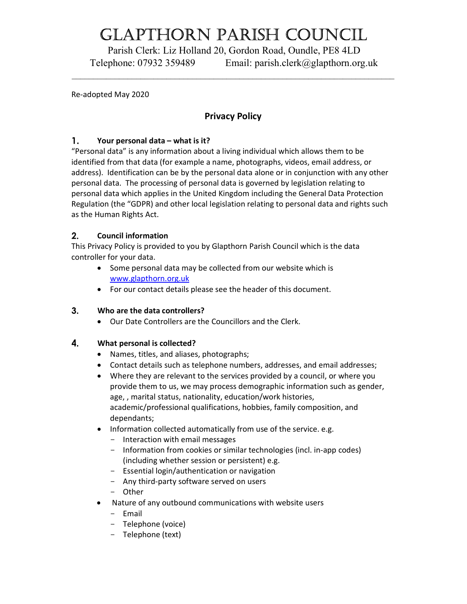# Glapthorn parish CounCil

Parish Clerk: Liz Holland 20, Gordon Road, Oundle, PE8 4LD Telephone: 07932 359489 Email: parish.clerk@glapthorn.org.uk

Re-adopted May 2020

# Privacy Policy

### 1. Your personal data – what is it?

"Personal data" is any information about a living individual which allows them to be identified from that data (for example a name, photographs, videos, email address, or address). Identification can be by the personal data alone or in conjunction with any other personal data. The processing of personal data is governed by legislation relating to personal data which applies in the United Kingdom including the General Data Protection Regulation (the "GDPR) and other local legislation relating to personal data and rights such as the Human Rights Act.

# $2.$ Council information

This Privacy Policy is provided to you by Glapthorn Parish Council which is the data controller for your data.

- Some personal data may be collected from our website which is www.glapthorn.org.uk
- For our contact details please see the header of this document.

#### 3. Who are the data controllers?

Our Date Controllers are the Councillors and the Clerk.

#### What personal is collected? 4.

- Names, titles, and aliases, photographs;
- Contact details such as telephone numbers, addresses, and email addresses;
- Where they are relevant to the services provided by a council, or where you provide them to us, we may process demographic information such as gender, age, , marital status, nationality, education/work histories, academic/professional qualifications, hobbies, family composition, and dependants;
- Information collected automatically from use of the service. e.g.
	- Interaction with email messages
	- Information from cookies or similar technologies (incl. in-app codes) (including whether session or persistent) e.g.
	- Essential login/authentication or navigation
	- Any third-party software served on users
	- Other
- Nature of any outbound communications with website users
	- Email
	- Telephone (voice)
	- Telephone (text)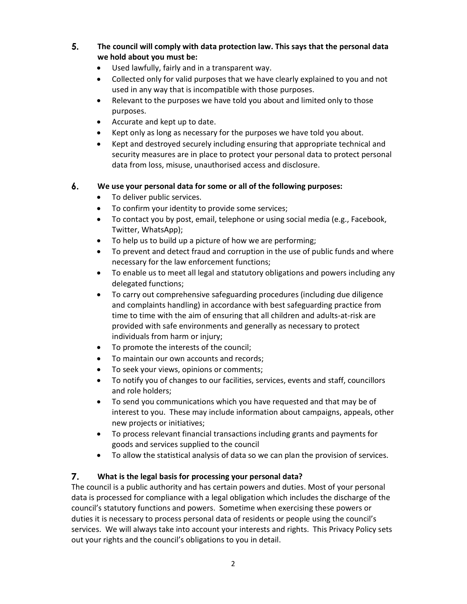5. The council will comply with data protection law. This says that the personal data we hold about you must be:

- Used lawfully, fairly and in a transparent way.
- Collected only for valid purposes that we have clearly explained to you and not used in any way that is incompatible with those purposes.
- Relevant to the purposes we have told you about and limited only to those purposes.
- Accurate and kept up to date.
- Kept only as long as necessary for the purposes we have told you about.
- Kept and destroyed securely including ensuring that appropriate technical and security measures are in place to protect your personal data to protect personal data from loss, misuse, unauthorised access and disclosure.

# 6. We use your personal data for some or all of the following purposes:

- To deliver public services.
- To confirm your identity to provide some services;
- To contact you by post, email, telephone or using social media (e.g., Facebook, Twitter, WhatsApp);
- To help us to build up a picture of how we are performing;
- To prevent and detect fraud and corruption in the use of public funds and where necessary for the law enforcement functions;
- To enable us to meet all legal and statutory obligations and powers including any delegated functions;
- To carry out comprehensive safeguarding procedures (including due diligence and complaints handling) in accordance with best safeguarding practice from time to time with the aim of ensuring that all children and adults-at-risk are provided with safe environments and generally as necessary to protect individuals from harm or injury;
- To promote the interests of the council;
- To maintain our own accounts and records;
- To seek your views, opinions or comments;
- To notify you of changes to our facilities, services, events and staff, councillors and role holders;
- To send you communications which you have requested and that may be of interest to you. These may include information about campaigns, appeals, other new projects or initiatives;
- To process relevant financial transactions including grants and payments for goods and services supplied to the council
- To allow the statistical analysis of data so we can plan the provision of services.

# $\overline{7}$ . What is the legal basis for processing your personal data?

The council is a public authority and has certain powers and duties. Most of your personal data is processed for compliance with a legal obligation which includes the discharge of the council's statutory functions and powers. Sometime when exercising these powers or duties it is necessary to process personal data of residents or people using the council's services. We will always take into account your interests and rights. This Privacy Policy sets out your rights and the council's obligations to you in detail.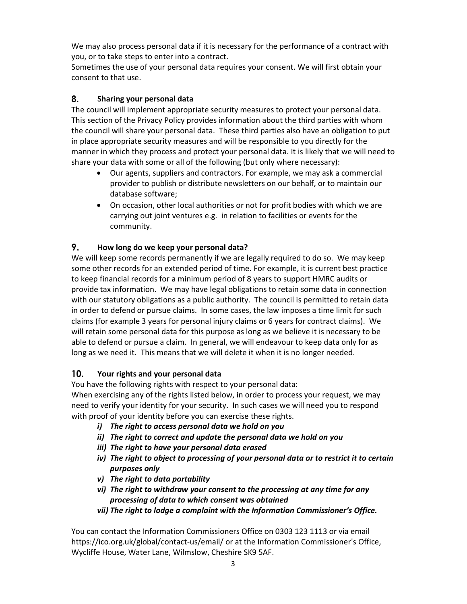We may also process personal data if it is necessary for the performance of a contract with you, or to take steps to enter into a contract.

Sometimes the use of your personal data requires your consent. We will first obtain your consent to that use.

# 8. Sharing your personal data

The council will implement appropriate security measures to protect your personal data. This section of the Privacy Policy provides information about the third parties with whom the council will share your personal data. These third parties also have an obligation to put in place appropriate security measures and will be responsible to you directly for the manner in which they process and protect your personal data. It is likely that we will need to share your data with some or all of the following (but only where necessary):

- Our agents, suppliers and contractors. For example, we may ask a commercial provider to publish or distribute newsletters on our behalf, or to maintain our database software;
- On occasion, other local authorities or not for profit bodies with which we are carrying out joint ventures e.g. in relation to facilities or events for the community.

# 9. How long do we keep your personal data?

We will keep some records permanently if we are legally required to do so. We may keep some other records for an extended period of time. For example, it is current best practice to keep financial records for a minimum period of 8 years to support HMRC audits or provide tax information. We may have legal obligations to retain some data in connection with our statutory obligations as a public authority. The council is permitted to retain data in order to defend or pursue claims. In some cases, the law imposes a time limit for such claims (for example 3 years for personal injury claims or 6 years for contract claims). We will retain some personal data for this purpose as long as we believe it is necessary to be able to defend or pursue a claim. In general, we will endeavour to keep data only for as long as we need it. This means that we will delete it when it is no longer needed.

#### $10.$ Your rights and your personal data

You have the following rights with respect to your personal data:

When exercising any of the rights listed below, in order to process your request, we may need to verify your identity for your security. In such cases we will need you to respond with proof of your identity before you can exercise these rights.

- i) The right to access personal data we hold on you
- ii) The right to correct and update the personal data we hold on you
- iii) The right to have your personal data erased
- iv) The right to object to processing of your personal data or to restrict it to certain purposes only
- v) The right to data portability
- vi) The right to withdraw your consent to the processing at any time for any processing of data to which consent was obtained
- vii) The right to lodge a complaint with the Information Commissioner's Office.

You can contact the Information Commissioners Office on 0303 123 1113 or via email https://ico.org.uk/global/contact-us/email/ or at the Information Commissioner's Office, Wycliffe House, Water Lane, Wilmslow, Cheshire SK9 5AF.